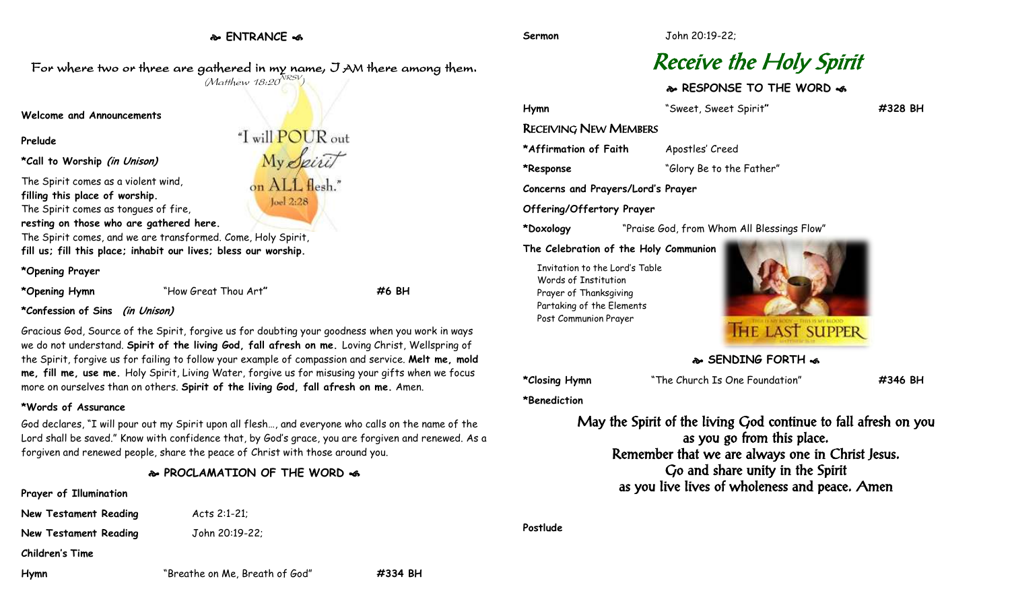**ENTRANCE** 

For where two or three are gathered in my name, I AM there among them.

# Receive the Holy Spirit

**RESPONSE TO THE WORD** 

**Hymn** "Sweet, Sweet Spirit**" #328 BH** RECEIVING NEW MEMBERS \*Affirmation of Faith Apostles' Creed **\*Response** "Glory Be to the Father" **Concerns and Prayers/Lord's Prayer Offering/Offertory Prayer \*Doxology** "Praise God, from Whom All Blessings Flow"

#### **The Celebration of the Holy Communion**

Invitation to the Lord's Table Words of Institution Prayer of Thanksgiving Partaking of the Elements Post Communion Prayer



# **SENDING FORTH &**

**\*Closing Hymn** "The Church Is One Foundation" **#346 BH**

**\*Benediction**

May the Spirit of the living God continue to fall afresh on you as you go from this place. Remember that we are always one in Christ Jesus. Go and share unity in the Spirit as you live lives of wholeness and peace. Amen

**Postlude**

**New Testament Reading Acts 2:1-21; New Testament Reading John 20:19-22;** 

**Children's Time**

**Hymn** "Breathe on Me, Breath of God" **#334 BH**

 $\lq$ I will POUR out My Spirit on ALL flesh." loel 2:28

**\*Call to Worship (in Unison)**

**Welcome and Announcements**

The Spirit comes as a violent wind,

**filling this place of worship.**

The Spirit comes as tongues of fire,

**resting on those who are gathered here.**

The Spirit comes, and we are transformed. Come, Holy Spirit, **fill us; fill this place; inhabit our lives; bless our worship.**

#### **\*Opening Prayer**

**Prelude**

**\*Opening Hymn** "How Great Thou Art**" #6 BH**

**\*Confession of Sins (in Unison)**

Gracious God, Source of the Spirit, forgive us for doubting your goodness when you work in ways we do not understand. **Spirit of the living God, fall afresh on me.** Loving Christ, Wellspring of the Spirit, forgive us for failing to follow your example of compassion and service. **Melt me, mold me, fill me, use me.** Holy Spirit, Living Water, forgive us for misusing your gifts when we focus more on ourselves than on others. **Spirit of the living God, fall afresh on me.** Amen.

# **\*Words of Assurance**

**Prayer of Illumination**

God declares, "I will pour out my Spirit upon all flesh…, and everyone who calls on the name of the Lord shall be saved." Know with confidence that, by God's grace, you are forgiven and renewed. As a forgiven and renewed people, share the peace of Christ with those around you.

# **PROCLAMATION OF THE WORD**